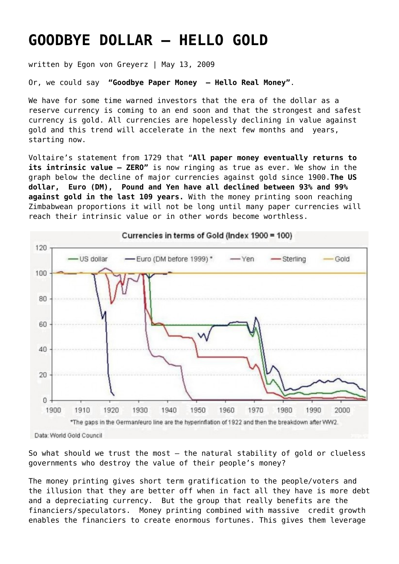## **[GOODBYE DOLLAR – HELLO GOLD](https://goldswitzerland.com/goodbye-dollar-hello-gold/)**

written by Egon von Greyerz | May 13, 2009

Or, we could say **"Goodbye Paper Money – Hello Real Money"**.

We have for some time warned investors that the era of the dollar as a reserve currency is coming to an end soon and that the strongest and safest currency is gold. All currencies are hopelessly declining in value against gold and this trend will accelerate in the next few months and years, starting now.

Voltaire's statement from 1729 that "**All paper money eventually returns to its intrinsic value – ZERO"** is now ringing as true as ever. We show in the graph below the decline of major currencies against gold since 1900.**The US dollar, Euro (DM), Pound and Yen have all declined between 93% and 99% against gold in the last 109 years.** With the money printing soon reaching Zimbabwean proportions it will not be long until many paper currencies will reach their intrinsic value or in other words become worthless.



So what should we trust the most – the natural stability of gold or clueless governments who destroy the value of their people's money?

The money printing gives short term gratification to the people/voters and the illusion that they are better off when in fact all they have is more debt and a depreciating currency. But the group that really benefits are the financiers/speculators. Money printing combined with massive credit growth enables the financiers to create enormous fortunes. This gives them leverage